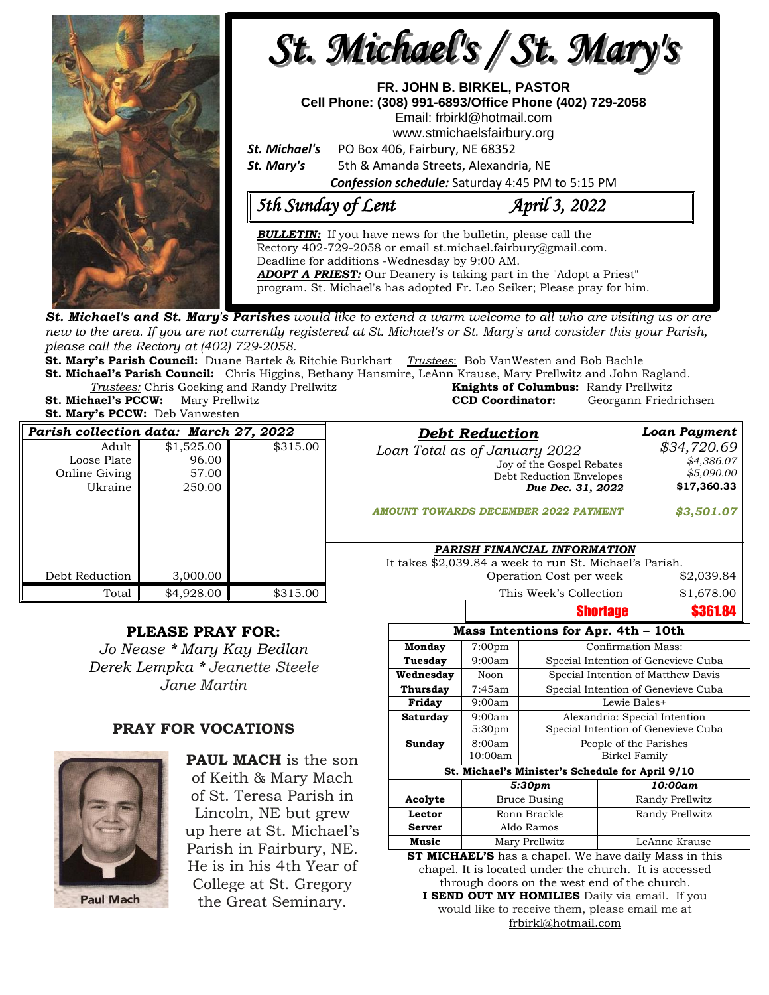

**St. Michael's and St. Mary's Parishes** would like to extend a warm welcome to all who are visiting us or are new to the area. If you are not currently registered at St. Michael's or St. Mary's and consider this your Parish, *please call the Rectory at (402) 729-2058.* 

**St. Mary's Parish Council:** Duane Bartek & Ritchie Burkhart *Trustees*: Bob VanWesten and Bob Bachle **St. Michael's Parish Council:** Chris Higgins, Bethany Hansmire, LeAnn Krause, Mary Prellwitz and John Ragland.

**Trustees:** Chris Goeking and Randy Prellwitz

|                                           | <i>Trustees:</i> Chris Goeking and Randy Prellwitz | <b>Knights of Columbus: Randy Prellwitz</b> |                       |
|-------------------------------------------|----------------------------------------------------|---------------------------------------------|-----------------------|
| <b>St. Michael's PCCW:</b> Mary Prellwitz |                                                    | <b>CCD Coordinator:</b>                     | Georgann Friedrichsen |
| <b>St. Mary's PCCW:</b> Deb Vanwesten     |                                                    |                                             |                       |

| Parish collection data: March 27, 2022             |                                        |          | <b>Debt Reduction</b>                                                                                                                               | Loan Payment                                                         |
|----------------------------------------------------|----------------------------------------|----------|-----------------------------------------------------------------------------------------------------------------------------------------------------|----------------------------------------------------------------------|
| Adult  <br>Loose Plate<br>Online Giving<br>Ukraine | \$1,525.00<br>96.00<br>57.00<br>250.00 | \$315.00 | Loan Total as of January 2022<br>Joy of the Gospel Rebates<br>Debt Reduction Envelopes<br>Due Dec. 31, 2022<br>AMOUNT TOWARDS DECEMBER 2022 PAYMENT | \$34,720.69<br>\$4,386.07<br>\$5,090.00<br>\$17,360.33<br>\$3,501.07 |
|                                                    |                                        |          | PARISH FINANCIAL INFORMATION                                                                                                                        |                                                                      |
|                                                    |                                        |          | It takes \$2,039.84 a week to run St. Michael's Parish.                                                                                             |                                                                      |
| Debt Reduction                                     | 3,000.00                               |          | Operation Cost per week                                                                                                                             | \$2,039.84                                                           |
| Total                                              | \$4,928,00                             | \$315.00 | This Week's Collection                                                                                                                              | \$1,678.00                                                           |
|                                                    |                                        |          | <b>Shortage</b>                                                                                                                                     | <b>\$361.84</b>                                                      |

## **PLEASE PRAY FOR:**

*Jo Nease \* Mary Kay Bedlan Derek Lempka \* Jeanette Steele Jane Martin*

## **PRAY FOR VOCATIONS**



**PAUL MACH** is the son of Keith & Mary Mach of St. Teresa Parish in Lincoln, NE but grew up here at St. Michael's Parish in Fairbury, NE. He is in his 4th Year of College at St. Gregory the Great Seminary.

| Mass Intentions for Apr. 4th - 10th              |                     |                                     |                                     |  |  |  |  |  |
|--------------------------------------------------|---------------------|-------------------------------------|-------------------------------------|--|--|--|--|--|
| Monday                                           | 7:00 <sub>pm</sub>  | <b>Confirmation Mass:</b>           |                                     |  |  |  |  |  |
| Tuesday                                          | 9:00am              | Special Intention of Genevieve Cuba |                                     |  |  |  |  |  |
| Wednesday                                        | Noon                | Special Intention of Matthew Davis  |                                     |  |  |  |  |  |
| Thursday                                         | 7:45am              | Special Intention of Genevieve Cuba |                                     |  |  |  |  |  |
| Friday                                           | 9:00am              | Lewie Bales+                        |                                     |  |  |  |  |  |
| Saturday                                         | 9:00am              | Alexandria: Special Intention       |                                     |  |  |  |  |  |
|                                                  | 5:30 <sub>pm</sub>  |                                     | Special Intention of Genevieve Cuba |  |  |  |  |  |
| Sunday                                           | 8:00am              | People of the Parishes              |                                     |  |  |  |  |  |
|                                                  | 10:00am             | Birkel Family                       |                                     |  |  |  |  |  |
| St. Michael's Minister's Schedule for April 9/10 |                     |                                     |                                     |  |  |  |  |  |
|                                                  | 5:30pm              |                                     | 10:00am                             |  |  |  |  |  |
| Acolyte                                          | <b>Bruce Busing</b> |                                     | Randy Prellwitz                     |  |  |  |  |  |
| Lector                                           | Ronn Brackle        |                                     | Randy Prellwitz                     |  |  |  |  |  |
| <b>Server</b>                                    | Aldo Ramos          |                                     |                                     |  |  |  |  |  |
| Music                                            | Mary Prellwitz      |                                     | LeAnne Krause                       |  |  |  |  |  |
|                                                  |                     |                                     |                                     |  |  |  |  |  |

**ST MICHAEL'S** has a chapel. We have daily Mass in this chapel. It is located under the church. It is accessed through doors on the west end of the church. **I SEND OUT MY HOMILIES** Daily via email. If you would like to receive them, please email me at [frbirkl@hotmail.com](mailto:frbirkl@hotmail.com)